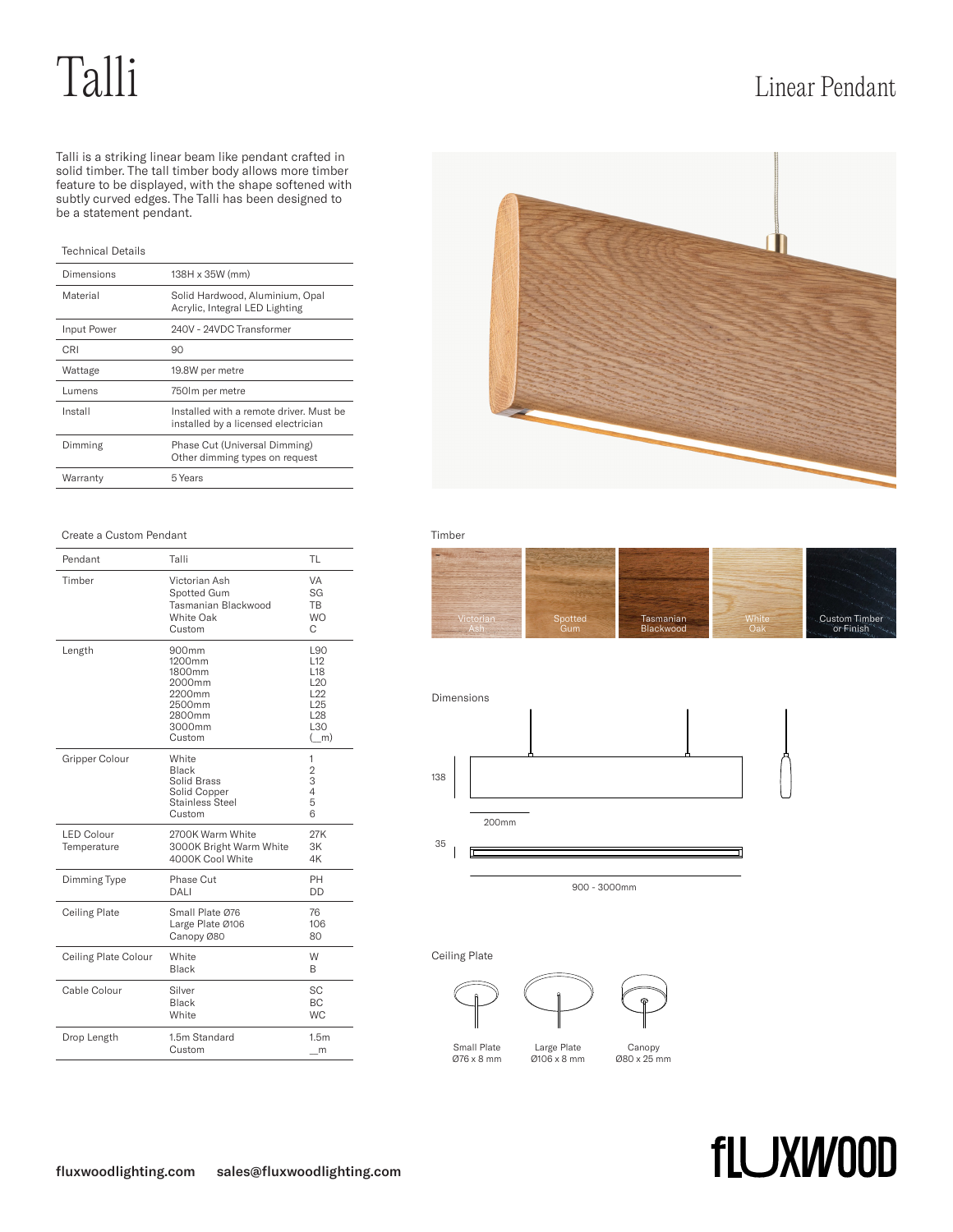# Talli Linear Pendant

Talli is a striking linear beam like pendant crafted in solid timber. The tall timber body allows more timber feature to be displayed, with the shape softened with subtly curved edges. The Talli has been designed to be a statement pendant.

## Technical Details

| Dimensions  | 138H x 35W (mm)                                                                |  |
|-------------|--------------------------------------------------------------------------------|--|
| Material    | Solid Hardwood, Aluminium, Opal<br>Acrylic, Integral LED Lighting              |  |
| Input Power | 240V - 24VDC Transformer                                                       |  |
| CRI         | 90                                                                             |  |
| Wattage     | 19.8W per metre                                                                |  |
| Lumens      | 750 lm per metre                                                               |  |
| Install     | Installed with a remote driver. Must be<br>installed by a licensed electrician |  |
| Dimming     | Phase Cut (Universal Dimming)<br>Other dimming types on request                |  |
| Warranty    | 5 Years                                                                        |  |

### Create a Custom Pendant Timber

| Pendant                          | Talli                                                                                 | TL                                                                                                                      |
|----------------------------------|---------------------------------------------------------------------------------------|-------------------------------------------------------------------------------------------------------------------------|
| Timber                           | Victorian Ash<br>Spotted Gum<br>Tasmanian Blackwood<br>White Oak<br>Custom            | VA<br>SG<br><b>TB</b><br><b>WO</b><br>C                                                                                 |
| Length                           | 900mm<br>1200mm<br>1800mm<br>2000mm<br>2200mm<br>2500mm<br>2800mm<br>3000mm<br>Custom | L90<br>L <sub>12</sub><br>L <sub>18</sub><br>L <sub>20</sub><br>L22<br>L <sub>25</sub><br>L <sub>28</sub><br>L30<br>(m) |
| Gripper Colour                   | White<br><b>Black</b><br>Solid Brass<br>Solid Copper<br>Stainless Steel<br>Custom     | 1<br>$\overline{2}$<br>3<br>4<br>5<br>6                                                                                 |
| <b>LED Colour</b><br>Temperature | 2700K Warm White<br>3000K Bright Warm White<br>4000K Cool White                       | 27K<br>3K<br>4K                                                                                                         |
| Dimming Type                     | Phase Cut<br>DALI                                                                     | PH<br>DD                                                                                                                |
| Ceiling Plate                    | Small Plate Ø76<br>Large Plate Ø106<br>Canopy Ø80                                     | 76<br>106<br>80                                                                                                         |
| Ceiling Plate Colour             | White<br><b>Black</b>                                                                 | W<br>B                                                                                                                  |
| Cable Colour                     | Silver<br>Black<br>White                                                              | SC<br><b>BC</b><br><b>WC</b>                                                                                            |
| Drop Length                      | 1.5m Standard<br>Custom                                                               | 1.5m<br>m                                                                                                               |







Ceiling Plate



Small Plate Ø76 x 8 mm



Large Plate Ø106 x 8 mm



### Canopy Ø80 x 25 mm